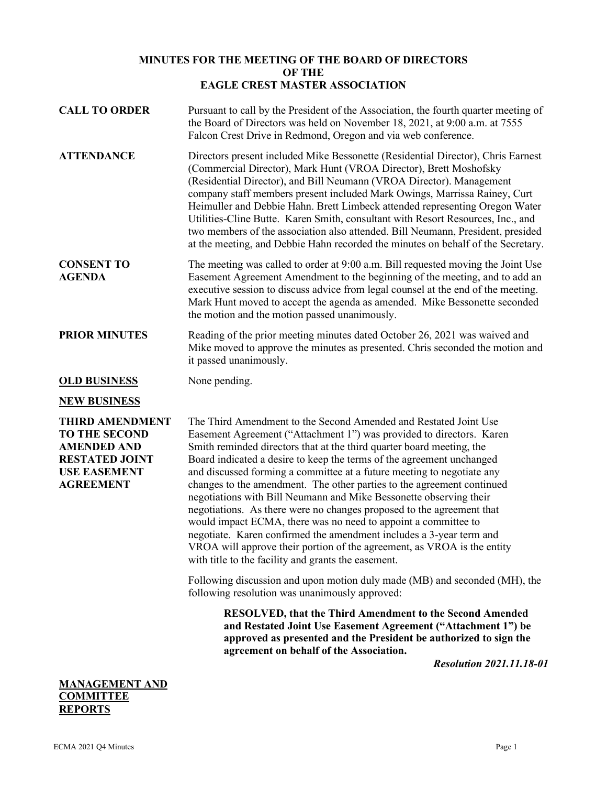## **MINUTES FOR THE MEETING OF THE BOARD OF DIRECTORS OF THE EAGLE CREST MASTER ASSOCIATION**

**CALL TO ORDER** Pursuant to call by the President of the Association, the fourth quarter meeting of the Board of Directors was held on November 18, 2021, at 9:00 a.m. at 7555 Falcon Crest Drive in Redmond, Oregon and via web conference. **ATTENDANCE** Directors present included Mike Bessonette (Residential Director), Chris Earnest (Commercial Director), Mark Hunt (VROA Director), Brett Moshofsky (Residential Director), and Bill Neumann (VROA Director). Management company staff members present included Mark Owings, Marrissa Rainey, Curt Heimuller and Debbie Hahn. Brett Limbeck attended representing Oregon Water Utilities-Cline Butte. Karen Smith, consultant with Resort Resources, Inc., and two members of the association also attended. Bill Neumann, President, presided at the meeting, and Debbie Hahn recorded the minutes on behalf of the Secretary. **CONSENT TO AGENDA** The meeting was called to order at 9:00 a.m. Bill requested moving the Joint Use Easement Agreement Amendment to the beginning of the meeting, and to add an executive session to discuss advice from legal counsel at the end of the meeting. Mark Hunt moved to accept the agenda as amended. Mike Bessonette seconded the motion and the motion passed unanimously. **PRIOR MINUTES** Reading of the prior meeting minutes dated October 26, 2021 was waived and Mike moved to approve the minutes as presented. Chris seconded the motion and it passed unanimously. **OLD BUSINESS** None pending. **NEW BUSINESS THIRD AMENDMENT TO THE SECOND AMENDED AND RESTATED JOINT USE EASEMENT AGREEMENT** The Third Amendment to the Second Amended and Restated Joint Use Easement Agreement ("Attachment 1") was provided to directors. Karen Smith reminded directors that at the third quarter board meeting, the Board indicated a desire to keep the terms of the agreement unchanged and discussed forming a committee at a future meeting to negotiate any changes to the amendment. The other parties to the agreement continued negotiations with Bill Neumann and Mike Bessonette observing their negotiations. As there were no changes proposed to the agreement that

would impact ECMA, there was no need to appoint a committee to negotiate. Karen confirmed the amendment includes a 3-year term and VROA will approve their portion of the agreement, as VROA is the entity with title to the facility and grants the easement.

Following discussion and upon motion duly made (MB) and seconded (MH), the following resolution was unanimously approved:

**RESOLVED, that the Third Amendment to the Second Amended and Restated Joint Use Easement Agreement ("Attachment 1") be approved as presented and the President be authorized to sign the agreement on behalf of the Association.**

*Resolution 2021.11.18-01*

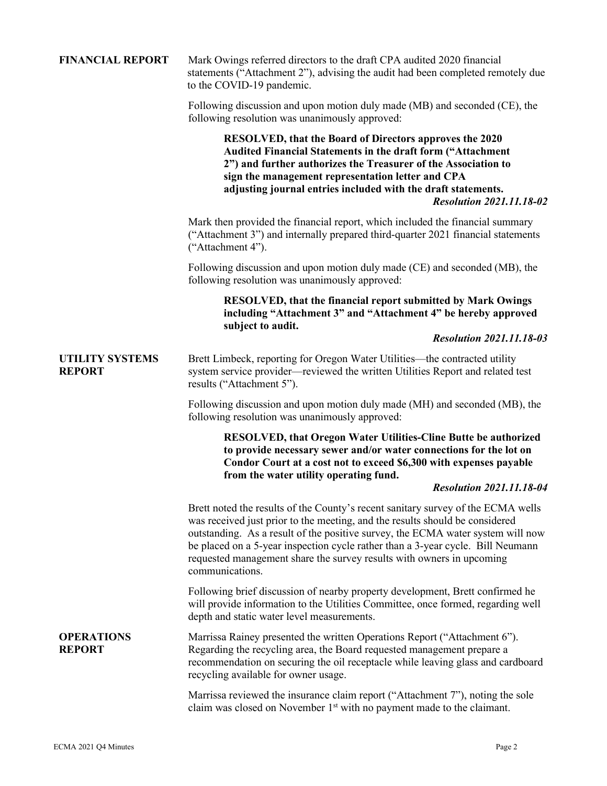| <b>FINANCIAL REPORT</b>                 | Mark Owings referred directors to the draft CPA audited 2020 financial<br>statements ("Attachment 2"), advising the audit had been completed remotely due<br>to the COVID-19 pandemic.                                                                                                                                                                                                                                             |
|-----------------------------------------|------------------------------------------------------------------------------------------------------------------------------------------------------------------------------------------------------------------------------------------------------------------------------------------------------------------------------------------------------------------------------------------------------------------------------------|
|                                         | Following discussion and upon motion duly made (MB) and seconded (CE), the<br>following resolution was unanimously approved:                                                                                                                                                                                                                                                                                                       |
|                                         | RESOLVED, that the Board of Directors approves the 2020<br><b>Audited Financial Statements in the draft form ("Attachment</b><br>2") and further authorizes the Treasurer of the Association to<br>sign the management representation letter and CPA<br>adjusting journal entries included with the draft statements.<br><b>Resolution 2021.11.18-02</b>                                                                           |
|                                         | Mark then provided the financial report, which included the financial summary<br>("Attachment 3") and internally prepared third-quarter 2021 financial statements<br>("Attachment 4").                                                                                                                                                                                                                                             |
|                                         | Following discussion and upon motion duly made (CE) and seconded (MB), the<br>following resolution was unanimously approved:                                                                                                                                                                                                                                                                                                       |
|                                         | <b>RESOLVED, that the financial report submitted by Mark Owings</b><br>including "Attachment 3" and "Attachment 4" be hereby approved<br>subject to audit.                                                                                                                                                                                                                                                                         |
|                                         | <b>Resolution 2021.11.18-03</b>                                                                                                                                                                                                                                                                                                                                                                                                    |
| <b>UTILITY SYSTEMS</b><br><b>REPORT</b> | Brett Limbeck, reporting for Oregon Water Utilities—the contracted utility<br>system service provider—reviewed the written Utilities Report and related test<br>results ("Attachment 5").                                                                                                                                                                                                                                          |
|                                         | Following discussion and upon motion duly made (MH) and seconded (MB), the<br>following resolution was unanimously approved:                                                                                                                                                                                                                                                                                                       |
|                                         | <b>RESOLVED, that Oregon Water Utilities-Cline Butte be authorized</b><br>to provide necessary sewer and/or water connections for the lot on<br>Condor Court at a cost not to exceed \$6,300 with expenses payable<br>from the water utility operating fund.<br><b>Resolution 2021.11.18-04</b>                                                                                                                                    |
|                                         | Brett noted the results of the County's recent sanitary survey of the ECMA wells<br>was received just prior to the meeting, and the results should be considered<br>outstanding. As a result of the positive survey, the ECMA water system will now<br>be placed on a 5-year inspection cycle rather than a 3-year cycle. Bill Neumann<br>requested management share the survey results with owners in upcoming<br>communications. |
|                                         | Following brief discussion of nearby property development, Brett confirmed he<br>will provide information to the Utilities Committee, once formed, regarding well<br>depth and static water level measurements.                                                                                                                                                                                                                    |
| <b>OPERATIONS</b><br><b>REPORT</b>      | Marrissa Rainey presented the written Operations Report ("Attachment 6").<br>Regarding the recycling area, the Board requested management prepare a<br>recommendation on securing the oil receptacle while leaving glass and cardboard<br>recycling available for owner usage.                                                                                                                                                     |
|                                         | Marrissa reviewed the insurance claim report ("Attachment 7"), noting the sole<br>claim was closed on November 1 <sup>st</sup> with no payment made to the claimant.                                                                                                                                                                                                                                                               |
|                                         |                                                                                                                                                                                                                                                                                                                                                                                                                                    |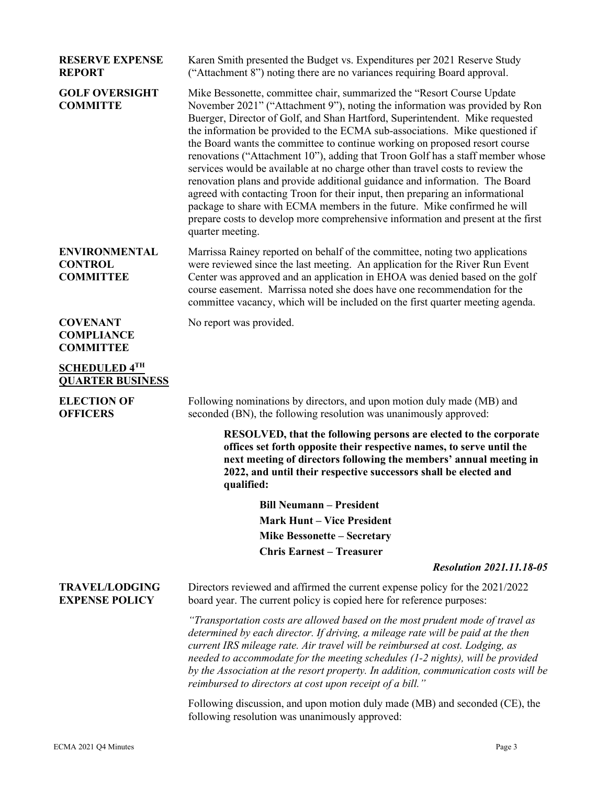| <b>RESERVE EXPENSE</b><br><b>REPORT</b>                    | Karen Smith presented the Budget vs. Expenditures per 2021 Reserve Study<br>("Attachment 8") noting there are no variances requiring Board approval.                                                                                                                                                                                                                                                                                                                                                                                                                                                                                                                                                                                                                                                                                                                                                                          |
|------------------------------------------------------------|-------------------------------------------------------------------------------------------------------------------------------------------------------------------------------------------------------------------------------------------------------------------------------------------------------------------------------------------------------------------------------------------------------------------------------------------------------------------------------------------------------------------------------------------------------------------------------------------------------------------------------------------------------------------------------------------------------------------------------------------------------------------------------------------------------------------------------------------------------------------------------------------------------------------------------|
| <b>GOLF OVERSIGHT</b><br><b>COMMITTE</b>                   | Mike Bessonette, committee chair, summarized the "Resort Course Update"<br>November 2021" ("Attachment 9"), noting the information was provided by Ron<br>Buerger, Director of Golf, and Shan Hartford, Superintendent. Mike requested<br>the information be provided to the ECMA sub-associations. Mike questioned if<br>the Board wants the committee to continue working on proposed resort course<br>renovations ("Attachment 10"), adding that Troon Golf has a staff member whose<br>services would be available at no charge other than travel costs to review the<br>renovation plans and provide additional guidance and information. The Board<br>agreed with contacting Troon for their input, then preparing an informational<br>package to share with ECMA members in the future. Mike confirmed he will<br>prepare costs to develop more comprehensive information and present at the first<br>quarter meeting. |
| <b>ENVIRONMENTAL</b><br><b>CONTROL</b><br><b>COMMITTEE</b> | Marrissa Rainey reported on behalf of the committee, noting two applications<br>were reviewed since the last meeting. An application for the River Run Event<br>Center was approved and an application in EHOA was denied based on the golf<br>course easement. Marrissa noted she does have one recommendation for the<br>committee vacancy, which will be included on the first quarter meeting agenda.                                                                                                                                                                                                                                                                                                                                                                                                                                                                                                                     |
| <b>COVENANT</b><br><b>COMPLIANCE</b><br><b>COMMITTEE</b>   | No report was provided.                                                                                                                                                                                                                                                                                                                                                                                                                                                                                                                                                                                                                                                                                                                                                                                                                                                                                                       |
| <b>SCHEDULED 4TH</b><br><b>QUARTER BUSINESS</b>            |                                                                                                                                                                                                                                                                                                                                                                                                                                                                                                                                                                                                                                                                                                                                                                                                                                                                                                                               |
| <b>ELECTION OF</b><br><b>OFFICERS</b>                      | Following nominations by directors, and upon motion duly made (MB) and<br>seconded (BN), the following resolution was unanimously approved:                                                                                                                                                                                                                                                                                                                                                                                                                                                                                                                                                                                                                                                                                                                                                                                   |
|                                                            | RESOLVED, that the following persons are elected to the corporate<br>offices set forth opposite their respective names, to serve until the<br>next meeting of directors following the members' annual meeting in<br>2022, and until their respective successors shall be elected and<br>qualified:                                                                                                                                                                                                                                                                                                                                                                                                                                                                                                                                                                                                                            |
|                                                            | <b>Bill Neumann - President</b>                                                                                                                                                                                                                                                                                                                                                                                                                                                                                                                                                                                                                                                                                                                                                                                                                                                                                               |
|                                                            | <b>Mark Hunt – Vice President</b>                                                                                                                                                                                                                                                                                                                                                                                                                                                                                                                                                                                                                                                                                                                                                                                                                                                                                             |
|                                                            | <b>Mike Bessonette - Secretary</b>                                                                                                                                                                                                                                                                                                                                                                                                                                                                                                                                                                                                                                                                                                                                                                                                                                                                                            |
|                                                            | <b>Chris Earnest - Treasurer</b>                                                                                                                                                                                                                                                                                                                                                                                                                                                                                                                                                                                                                                                                                                                                                                                                                                                                                              |
|                                                            | <b>Resolution 2021.11.18-05</b>                                                                                                                                                                                                                                                                                                                                                                                                                                                                                                                                                                                                                                                                                                                                                                                                                                                                                               |
| <b>TRAVEL/LODGING</b><br><b>EXPENSE POLICY</b>             | Directors reviewed and affirmed the current expense policy for the 2021/2022<br>board year. The current policy is copied here for reference purposes:                                                                                                                                                                                                                                                                                                                                                                                                                                                                                                                                                                                                                                                                                                                                                                         |
|                                                            | "Transportation costs are allowed based on the most prudent mode of travel as<br>determined by each director. If driving, a mileage rate will be paid at the then<br>current IRS mileage rate. Air travel will be reimbursed at cost. Lodging, as<br>needed to accommodate for the meeting schedules (1-2 nights), will be provided<br>by the Association at the resort property. In addition, communication costs will be<br>reimbursed to directors at cost upon receipt of a bill."                                                                                                                                                                                                                                                                                                                                                                                                                                        |
|                                                            | Following discussion, and upon motion duly made (MB) and seconded (CE), the<br>following resolution was unanimously approved:                                                                                                                                                                                                                                                                                                                                                                                                                                                                                                                                                                                                                                                                                                                                                                                                 |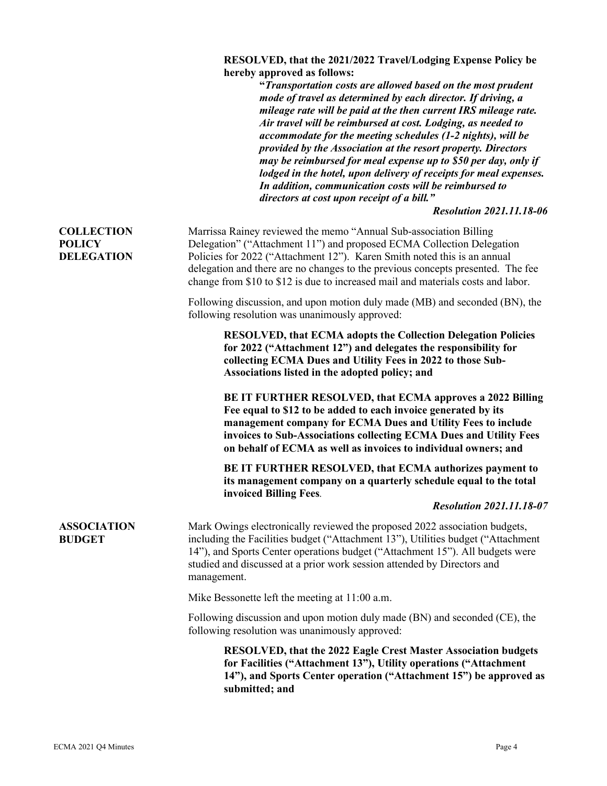## **RESOLVED, that the 2021/2022 Travel/Lodging Expense Policy be hereby approved as follows:**

|                                     | "Transportation costs are allowed based on the most prudent<br>mode of travel as determined by each director. If driving, a<br>mileage rate will be paid at the then current IRS mileage rate.<br>Air travel will be reimbursed at cost. Lodging, as needed to<br>accommodate for the meeting schedules (1-2 nights), will be<br>provided by the Association at the resort property. Directors<br>may be reimbursed for meal expense up to \$50 per day, only if<br>lodged in the hotel, upon delivery of receipts for meal expenses.<br>In addition, communication costs will be reimbursed to<br>directors at cost upon receipt of a bill."<br><b>Resolution 2021.11.18-06</b> |
|-------------------------------------|----------------------------------------------------------------------------------------------------------------------------------------------------------------------------------------------------------------------------------------------------------------------------------------------------------------------------------------------------------------------------------------------------------------------------------------------------------------------------------------------------------------------------------------------------------------------------------------------------------------------------------------------------------------------------------|
| <b>COLLECTION</b>                   | Marrissa Rainey reviewed the memo "Annual Sub-association Billing                                                                                                                                                                                                                                                                                                                                                                                                                                                                                                                                                                                                                |
| <b>POLICY</b><br><b>DELEGATION</b>  | Delegation" ("Attachment 11") and proposed ECMA Collection Delegation<br>Policies for 2022 ("Attachment 12"). Karen Smith noted this is an annual<br>delegation and there are no changes to the previous concepts presented. The fee<br>change from \$10 to \$12 is due to increased mail and materials costs and labor.                                                                                                                                                                                                                                                                                                                                                         |
|                                     | Following discussion, and upon motion duly made (MB) and seconded (BN), the<br>following resolution was unanimously approved:                                                                                                                                                                                                                                                                                                                                                                                                                                                                                                                                                    |
|                                     | <b>RESOLVED, that ECMA adopts the Collection Delegation Policies</b><br>for 2022 ("Attachment 12") and delegates the responsibility for<br>collecting ECMA Dues and Utility Fees in 2022 to those Sub-<br>Associations listed in the adopted policy; and                                                                                                                                                                                                                                                                                                                                                                                                                         |
|                                     | BE IT FURTHER RESOLVED, that ECMA approves a 2022 Billing<br>Fee equal to \$12 to be added to each invoice generated by its<br>management company for ECMA Dues and Utility Fees to include<br>invoices to Sub-Associations collecting ECMA Dues and Utility Fees<br>on behalf of ECMA as well as invoices to individual owners; and                                                                                                                                                                                                                                                                                                                                             |
|                                     | BE IT FURTHER RESOLVED, that ECMA authorizes payment to<br>its management company on a quarterly schedule equal to the total<br>invoiced Billing Fees.                                                                                                                                                                                                                                                                                                                                                                                                                                                                                                                           |
|                                     | <b>Resolution 2021.11.18-07</b>                                                                                                                                                                                                                                                                                                                                                                                                                                                                                                                                                                                                                                                  |
| <b>ASSOCIATION</b><br><b>BUDGET</b> | Mark Owings electronically reviewed the proposed 2022 association budgets,<br>including the Facilities budget ("Attachment 13"), Utilities budget ("Attachment<br>14"), and Sports Center operations budget ("Attachment 15"). All budgets were<br>studied and discussed at a prior work session attended by Directors and<br>management.                                                                                                                                                                                                                                                                                                                                        |
|                                     | Mike Bessonette left the meeting at 11:00 a.m.                                                                                                                                                                                                                                                                                                                                                                                                                                                                                                                                                                                                                                   |
|                                     | Following discussion and upon motion duly made (BN) and seconded (CE), the<br>following resolution was unanimously approved:                                                                                                                                                                                                                                                                                                                                                                                                                                                                                                                                                     |
|                                     | <b>RESOLVED, that the 2022 Eagle Crest Master Association budgets</b><br>for Facilities ("Attachment 13"), Utility operations ("Attachment<br>14"), and Sports Center operation ("Attachment 15") be approved as<br>submitted; and                                                                                                                                                                                                                                                                                                                                                                                                                                               |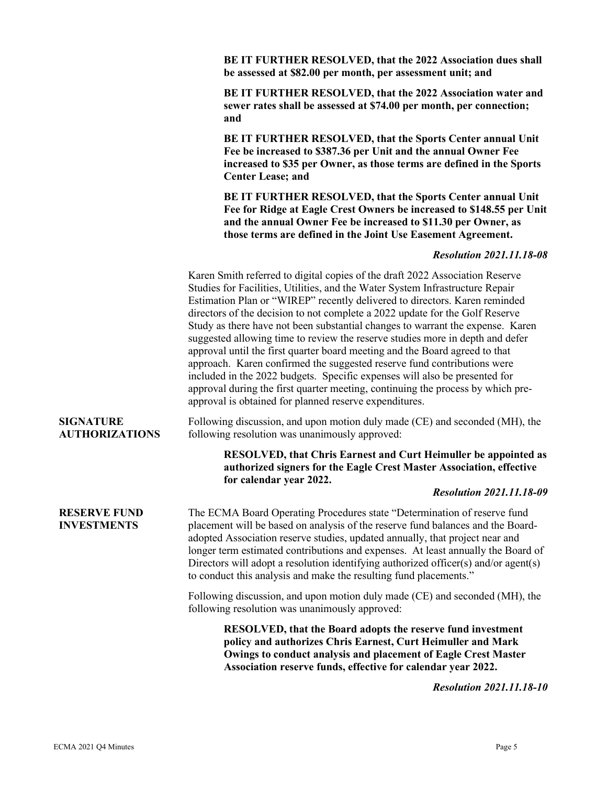|                                           | BE IT FURTHER RESOLVED, that the 2022 Association dues shall<br>be assessed at \$82.00 per month, per assessment unit; and                                                                                                                                                                                                                                                                                                                                                                                                                                                                                                                                                                                                                                                                                                                                                          |
|-------------------------------------------|-------------------------------------------------------------------------------------------------------------------------------------------------------------------------------------------------------------------------------------------------------------------------------------------------------------------------------------------------------------------------------------------------------------------------------------------------------------------------------------------------------------------------------------------------------------------------------------------------------------------------------------------------------------------------------------------------------------------------------------------------------------------------------------------------------------------------------------------------------------------------------------|
|                                           | BE IT FURTHER RESOLVED, that the 2022 Association water and<br>sewer rates shall be assessed at \$74.00 per month, per connection;<br>and                                                                                                                                                                                                                                                                                                                                                                                                                                                                                                                                                                                                                                                                                                                                           |
|                                           | BE IT FURTHER RESOLVED, that the Sports Center annual Unit<br>Fee be increased to \$387.36 per Unit and the annual Owner Fee<br>increased to \$35 per Owner, as those terms are defined in the Sports<br><b>Center Lease; and</b>                                                                                                                                                                                                                                                                                                                                                                                                                                                                                                                                                                                                                                                   |
|                                           | BE IT FURTHER RESOLVED, that the Sports Center annual Unit<br>Fee for Ridge at Eagle Crest Owners be increased to \$148.55 per Unit<br>and the annual Owner Fee be increased to \$11.30 per Owner, as<br>those terms are defined in the Joint Use Easement Agreement.                                                                                                                                                                                                                                                                                                                                                                                                                                                                                                                                                                                                               |
|                                           | <b>Resolution 2021.11.18-08</b>                                                                                                                                                                                                                                                                                                                                                                                                                                                                                                                                                                                                                                                                                                                                                                                                                                                     |
|                                           | Karen Smith referred to digital copies of the draft 2022 Association Reserve<br>Studies for Facilities, Utilities, and the Water System Infrastructure Repair<br>Estimation Plan or "WIREP" recently delivered to directors. Karen reminded<br>directors of the decision to not complete a 2022 update for the Golf Reserve<br>Study as there have not been substantial changes to warrant the expense. Karen<br>suggested allowing time to review the reserve studies more in depth and defer<br>approval until the first quarter board meeting and the Board agreed to that<br>approach. Karen confirmed the suggested reserve fund contributions were<br>included in the 2022 budgets. Specific expenses will also be presented for<br>approval during the first quarter meeting, continuing the process by which pre-<br>approval is obtained for planned reserve expenditures. |
| <b>SIGNATURE</b><br><b>AUTHORIZATIONS</b> | Following discussion, and upon motion duly made (CE) and seconded (MH), the<br>following resolution was unanimously approved:                                                                                                                                                                                                                                                                                                                                                                                                                                                                                                                                                                                                                                                                                                                                                       |
|                                           | <b>RESOLVED, that Chris Earnest and Curt Heimuller be appointed as</b><br>authorized signers for the Eagle Crest Master Association, effective<br>for calendar year 2022.                                                                                                                                                                                                                                                                                                                                                                                                                                                                                                                                                                                                                                                                                                           |
|                                           | <b>Resolution 2021.11.18-09</b>                                                                                                                                                                                                                                                                                                                                                                                                                                                                                                                                                                                                                                                                                                                                                                                                                                                     |
| <b>RESERVE FUND</b><br><b>INVESTMENTS</b> | The ECMA Board Operating Procedures state "Determination of reserve fund<br>placement will be based on analysis of the reserve fund balances and the Board-<br>adopted Association reserve studies, updated annually, that project near and<br>longer term estimated contributions and expenses. At least annually the Board of<br>Directors will adopt a resolution identifying authorized officer(s) and/or agent(s)<br>to conduct this analysis and make the resulting fund placements."                                                                                                                                                                                                                                                                                                                                                                                         |
|                                           | Following discussion, and upon motion duly made (CE) and seconded (MH), the<br>following resolution was unanimously approved:                                                                                                                                                                                                                                                                                                                                                                                                                                                                                                                                                                                                                                                                                                                                                       |
|                                           | <b>RESOLVED, that the Board adopts the reserve fund investment</b><br>policy and authorizes Chris Earnest, Curt Heimuller and Mark<br>Owings to conduct analysis and placement of Eagle Crest Master<br>Association reserve funds, effective for calendar year 2022.                                                                                                                                                                                                                                                                                                                                                                                                                                                                                                                                                                                                                |
|                                           | <b>Resolution 2021.11.18-10</b>                                                                                                                                                                                                                                                                                                                                                                                                                                                                                                                                                                                                                                                                                                                                                                                                                                                     |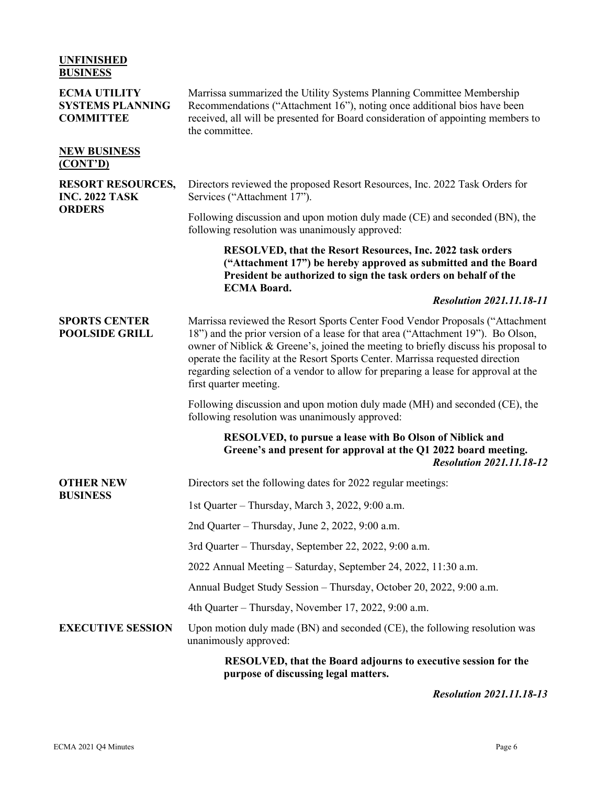| <b>UNFINISHED</b><br><b>BUSINESS</b>                               |                                                                                                                                                                                                                                                                                                                                                                                                                                                           |
|--------------------------------------------------------------------|-----------------------------------------------------------------------------------------------------------------------------------------------------------------------------------------------------------------------------------------------------------------------------------------------------------------------------------------------------------------------------------------------------------------------------------------------------------|
| <b>ECMA UTILITY</b><br><b>SYSTEMS PLANNING</b><br><b>COMMITTEE</b> | Marrissa summarized the Utility Systems Planning Committee Membership<br>Recommendations ("Attachment 16"), noting once additional bios have been<br>received, all will be presented for Board consideration of appointing members to<br>the committee.                                                                                                                                                                                                   |
| <b>NEW BUSINESS</b><br>(CONT'D)                                    |                                                                                                                                                                                                                                                                                                                                                                                                                                                           |
| <b>RESORT RESOURCES,</b><br><b>INC. 2022 TASK</b><br><b>ORDERS</b> | Directors reviewed the proposed Resort Resources, Inc. 2022 Task Orders for<br>Services ("Attachment 17").                                                                                                                                                                                                                                                                                                                                                |
|                                                                    | Following discussion and upon motion duly made (CE) and seconded (BN), the<br>following resolution was unanimously approved:                                                                                                                                                                                                                                                                                                                              |
|                                                                    | RESOLVED, that the Resort Resources, Inc. 2022 task orders<br>("Attachment 17") be hereby approved as submitted and the Board<br>President be authorized to sign the task orders on behalf of the                                                                                                                                                                                                                                                         |
|                                                                    | <b>ECMA Board.</b><br><b>Resolution 2021.11.18-11</b>                                                                                                                                                                                                                                                                                                                                                                                                     |
| <b>SPORTS CENTER</b><br><b>POOLSIDE GRILL</b>                      | Marrissa reviewed the Resort Sports Center Food Vendor Proposals ("Attachment<br>18") and the prior version of a lease for that area ("Attachment 19"). Bo Olson,<br>owner of Niblick & Greene's, joined the meeting to briefly discuss his proposal to<br>operate the facility at the Resort Sports Center. Marrissa requested direction<br>regarding selection of a vendor to allow for preparing a lease for approval at the<br>first quarter meeting. |
|                                                                    | Following discussion and upon motion duly made (MH) and seconded (CE), the<br>following resolution was unanimously approved:                                                                                                                                                                                                                                                                                                                              |
|                                                                    | RESOLVED, to pursue a lease with Bo Olson of Niblick and<br>Greene's and present for approval at the Q1 2022 board meeting.<br><b>Resolution 2021.11.18-12</b>                                                                                                                                                                                                                                                                                            |
| <b>OTHER NEW</b>                                                   | Directors set the following dates for 2022 regular meetings:                                                                                                                                                                                                                                                                                                                                                                                              |
| <b>BUSINESS</b>                                                    | 1st Quarter - Thursday, March 3, 2022, 9:00 a.m.                                                                                                                                                                                                                                                                                                                                                                                                          |
|                                                                    | 2nd Quarter - Thursday, June 2, 2022, 9:00 a.m.                                                                                                                                                                                                                                                                                                                                                                                                           |
|                                                                    | 3rd Quarter - Thursday, September 22, 2022, 9:00 a.m.                                                                                                                                                                                                                                                                                                                                                                                                     |
|                                                                    | 2022 Annual Meeting – Saturday, September 24, 2022, 11:30 a.m.                                                                                                                                                                                                                                                                                                                                                                                            |
|                                                                    | Annual Budget Study Session - Thursday, October 20, 2022, 9:00 a.m.                                                                                                                                                                                                                                                                                                                                                                                       |
|                                                                    | 4th Quarter - Thursday, November 17, 2022, 9:00 a.m.                                                                                                                                                                                                                                                                                                                                                                                                      |
| <b>EXECUTIVE SESSION</b>                                           | Upon motion duly made (BN) and seconded (CE), the following resolution was<br>unanimously approved:                                                                                                                                                                                                                                                                                                                                                       |
|                                                                    | RESOLVED, that the Board adjourns to executive session for the<br>purpose of discussing legal matters.                                                                                                                                                                                                                                                                                                                                                    |

## *Resolution 2021.11.18-13*